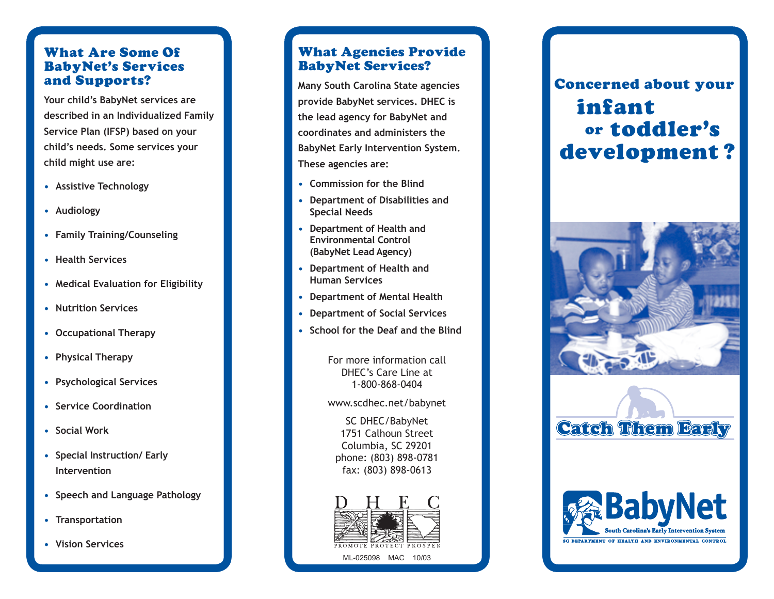# What Are Some Of BabyNet's Services and Supports?

**Your child's BabyNet services are described in an Individualized Family Service Plan (IFSP) based on your child's needs. Some services your child might use are:** 

- **Assistive Technology**
- **Audiology**
- **Family Training/Counseling**
- **Health Services**
- **Medical Evaluation for Eligibility**
- **Nutrition Services**
- **Occupational Therapy**
- **Physical Therapy**
- **Psychological Services**
- **Service Coordination**
- **Social Work**
- **Special Instruction/ Early Intervention**
- **Speech and Language Pathology**
- **Transportation**
- **Vision Services**

# What Agencies Provide BabyNet Services?

**Many South Carolina State agencies provide BabyNet services. DHEC is the lead agency for BabyNet and coordinates and administers the BabyNet Early Intervention System. These agencies are:**

- **Commission for the Blind**
- **Department of Disabilities and Special Needs**
- **Department of Health and Environmental Control (BabyNet Lead Agency)**
- **Department of Health and Human Services**
- **Department of Mental Health**
- **Department of Social Services**
- **School for the Deaf and the Blind**

For more information call DHEC's Care Line at 1-800-868-0404

www.scdhec.net/babynet

SC DHEC/BabyNet 1751 Calhoun Street Columbia, SC 29201 phone: (803) 898-0781 fax: (803) 898-0613



# infant development ? toddler's or **Concerned about your**